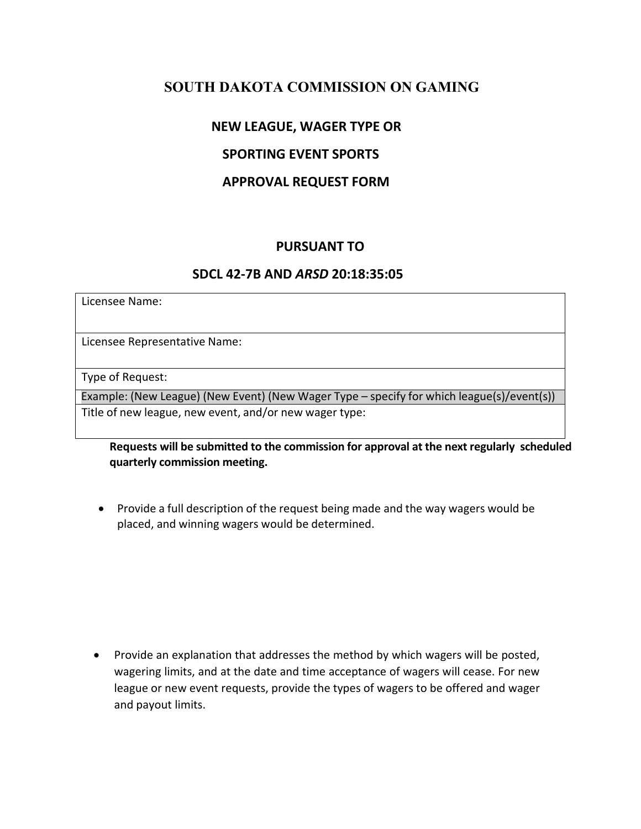# **SOUTH DAKOTA COMMISSION ON GAMING**

### **NEW LEAGUE, WAGER TYPE OR**

## **SPORTING EVENT SPORTS**

### **APPROVAL REQUEST FORM**

#### **PURSUANT TO**

#### **SDCL 42-7B AND** *ARSD* **20:18:35:05**

Licensee Name:

Licensee Representative Name:

Type of Request:

Example: (New League) (New Event) (New Wager Type – specify for which league(s)/event(s)) Title of new league, new event, and/or new wager type:

**Requests will be submitted to the commission for approval at the next regularly scheduled quarterly commission meeting.**

• Provide a full description of the request being made and the way wagers would be placed, and winning wagers would be determined.

• Provide an explanation that addresses the method by which wagers will be posted, wagering limits, and at the date and time acceptance of wagers will cease. For new league or new event requests, provide the types of wagers to be offered and wager and payout limits.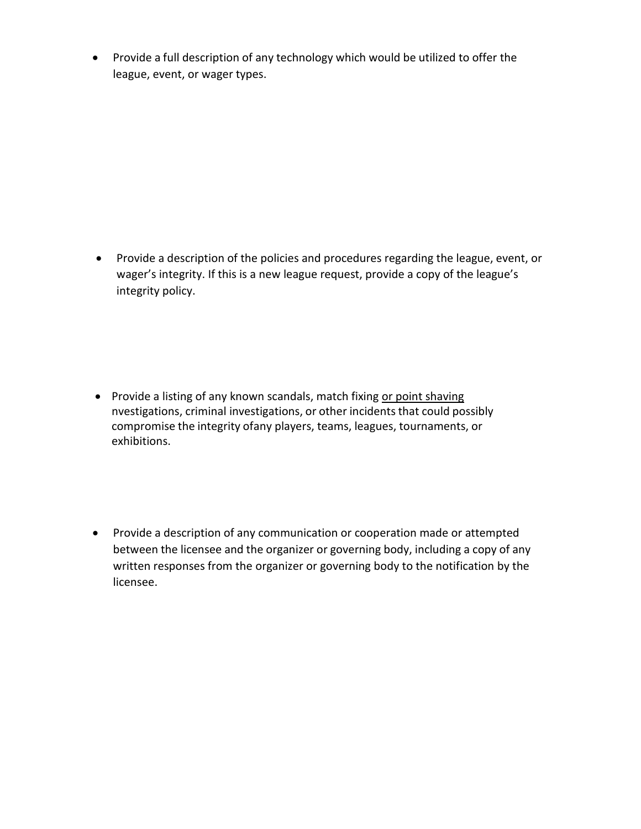• Provide a full description of any technology which would be utilized to offer the league, event, or wager types.

• Provide a description of the policies and procedures regarding the league, event, or wager's integrity. If this is a new league request, provide a copy of the league's integrity policy.

- Provide a listing of any known scandals, match fixing or point shaving nvestigations, criminal investigations, or other incidents that could possibly compromise the integrity ofany players, teams, leagues, tournaments, or exhibitions.
- Provide a description of any communication or cooperation made or attempted between the licensee and the organizer or governing body, including a copy of any written responses from the organizer or governing body to the notification by the licensee.